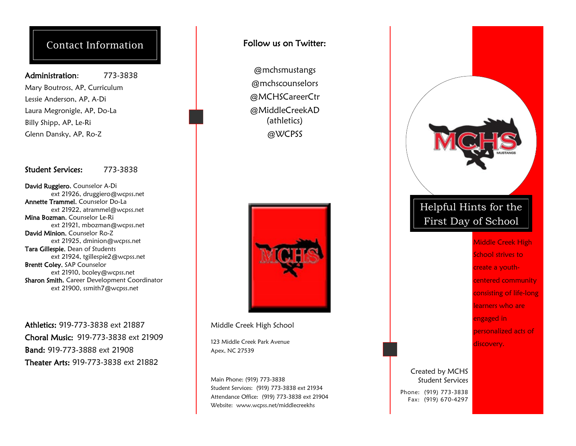## Contact Information

#### Administration: 773-3838

Mary Boutross, AP, Curriculum Lessie Anderson, AP, A-Di Laura Megronigle, AP, Do-La Billy Shipp, AP, Le-Ri Glenn Dansky, AP, Ro-Z

#### Student Services: 773-3838

David Ruggiero, Counselor A-Di ext 21926, druggiero@wcpss.net Annette Trammel, Counselor Do-La ext 21922, atrammel@wcpss.net Mina Bozman, Counselor Le-Ri ext 21921, mbozman@wcpss.net David Minion, Counselor Ro-Z ext 21925, dminion@wcpss.net Tara Gillespie, Dean of Students ext 21924, tgillespie2@wcpss.net Brentt Coley, SAP Counselor ext 21910, bcoley@wcpss.net Sharon Smith, Career Development Coordinator ext 21900, ssmith7@wcpss.net

Athletics: 919-773-3838 ext 21887 Choral Music: 919-773-3838 ext 21909 Band: 919-773-3888 ext 21908 Theater Arts: 919-773-3838 ext 21882

#### Follow us on Twitter:

@mchsmustangs @mchscounselors @MCHSCareerCtr @MiddleCreekAD (athletics) @WCPSS



Middle Creek High School

123 Middle Creek Park Avenue Apex, NC 27539

Main Phone: (919) 773-3838 Student Services: (919) 773-3838 ext 21934 Attendance Office: (919) 773-3838 ext 21904 Website: www.wcpss.net/middlecreekhs



Phone: (919) 773-3838 Fax: (919) 670-4297